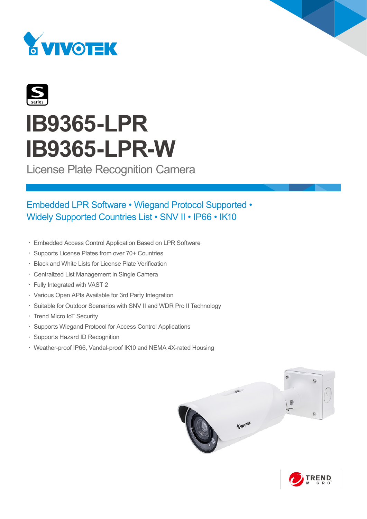



# **IB9365-LPR IB9365-LPR-W**

License Plate Recognition Camera

# Embedded LPR Software • Wiegand Protocol Supported • Widely Supported Countries List • SNV II • IP66 • IK10

- • Embedded Access Control Application Based on LPR Software
- • Supports License Plates from over 70+ Countries
- • Black and White Lists for License Plate Verification
- • Centralized List Management in Single Camera
- • Fully Integrated with VAST 2
- • Various Open APIs Available for 3rd Party Integration
- Suitable for Outdoor Scenarios with SNV II and WDR Pro II Technology
- • Trend Micro IoT Security
- • Supports Wiegand Protocol for Access Control Applications
- • Supports Hazard ID Recognition
- • Weather-proof IP66, Vandal-proof IK10 and NEMA 4X-rated Housing



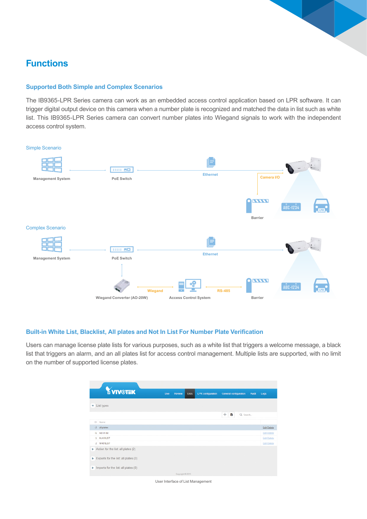### **Functions**

#### **Supported Both Simple and Complex Scenarios**

The IB9365-LPR Series camera can work as an embedded access control application based on LPR software. It can trigger digital output device on this camera when a number plate is recognized and matched the data in list such as white list. This IB9365-LPR Series camera can convert number plates into Wiegand signals to work with the independent access control system.

#### Simple Scenario



#### **Built-in White List, Blacklist, All plates and Not In List For Number Plate Verification**

Users can manage license plate lists for various purposes, such as a white list that triggers a welcome message, a black list that triggers an alarm, and an all plates list for access control management. Multiple lists are supported, with no limit on the number of supported license plates.

| <b>YVIVOTEK</b>                                            | Live | Lists<br>Review  | <b>LPR</b> configuration | <b>General configuration</b><br>Audit | Logs               |
|------------------------------------------------------------|------|------------------|--------------------------|---------------------------------------|--------------------|
| List types<br>$\mathbf{v}$                                 |      |                  |                          |                                       |                    |
|                                                            |      |                  |                          | $+$<br>E)<br>Q Search                 |                    |
| ID Name                                                    |      |                  |                          |                                       |                    |
| -2 all plates                                              |      |                  |                          |                                       | <b>Edit Delete</b> |
| -1 not in list                                             |      |                  |                          |                                       | <b>Edit Delete</b> |
| 1 BLACKLIST                                                |      |                  |                          |                                       | <b>Edit Delete</b> |
| 2 WHITELIST                                                |      |                  |                          |                                       | <b>Edit Delete</b> |
| Action for the list: all plates $(2)$                      |      |                  |                          |                                       |                    |
| $\blacktriangleright$ Exports for the list: all plates (0) |      |                  |                          |                                       |                    |
| Imports for the list: all plates (0)                       |      |                  |                          |                                       |                    |
|                                                            |      | Copyright © 2019 |                          |                                       |                    |

User Interface of List Management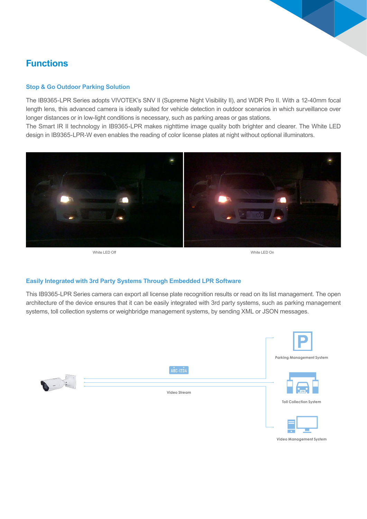### **Functions**

#### **Stop & Go Outdoor Parking Solution**

The IB9365-LPR Series adopts VIVOTEK's SNV II (Supreme Night Visibility II), and WDR Pro II. With a 12-40mm focal length lens, this advanced camera is ideally suited for vehicle detection in outdoor scenarios in which surveillance over longer distances or in low-light conditions is necessary, such as parking areas or gas stations.

The Smart IR II technology in IB9365-LPR makes nighttime image quality both brighter and clearer. The White LED design in IB9365-LPR-W even enables the reading of color license plates at night without optional illuminators.





#### **Easily Integrated with 3rd Party Systems Through Embedded LPR Software**

This IB9365-LPR Series camera can export all license plate recognition results or read on its list management. The open architecture of the device ensures that it can be easily integrated with 3rd party systems, such as parking management systems, toll collection systems or weighbridge management systems, by sending XML or JSON messages.



**Video Management System**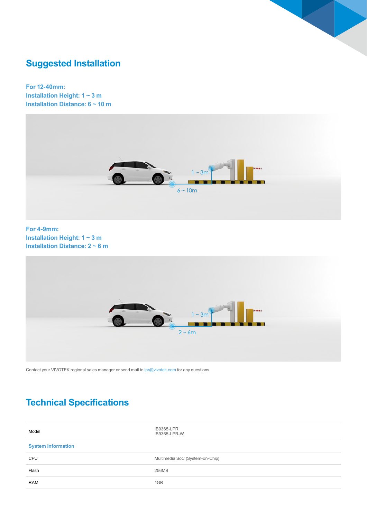

# **Suggested Installation**

**For 12-40mm: Installation Height: 1 ~ 3 m Installation Distance: 6 ~ 10 m**



**For 4-9mm: Installation Height: 1 ~ 3 m Installation Distance: 2 ~ 6 m**



Contact your VIVOTEK regional sales manager or send mail to lpr@vivotek.com for any questions.

# **Technical Specifications**

| Model                     | <b>IB9365-LPR</b><br>IB9365-LPR-W |  |
|---------------------------|-----------------------------------|--|
| <b>System Information</b> |                                   |  |
| <b>CPU</b>                | Multimedia SoC (System-on-Chip)   |  |
| Flash                     | 256MB                             |  |
| <b>RAM</b>                | 1GB                               |  |
|                           |                                   |  |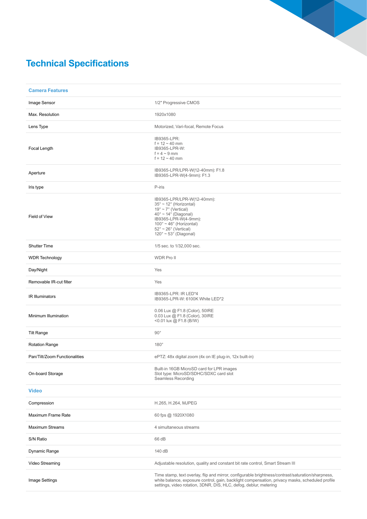

# **Technical Specifications**

| <b>Camera Features</b>        |                                                                                                                                                                                                                                                                                                       |
|-------------------------------|-------------------------------------------------------------------------------------------------------------------------------------------------------------------------------------------------------------------------------------------------------------------------------------------------------|
| Image Sensor                  | 1/2" Progressive CMOS                                                                                                                                                                                                                                                                                 |
| Max. Resolution               | 1920x1080                                                                                                                                                                                                                                                                                             |
| Lens Type                     | Motorized, Vari-focal, Remote Focus                                                                                                                                                                                                                                                                   |
| Focal Length                  | IB9365-LPR:<br>$f = 12 - 40$ mm<br>IB9365-LPR-W:<br>$f = 4 \sim 9$ mm<br>$f = 12 - 40$ mm                                                                                                                                                                                                             |
| Aperture                      | IB9365-LPR/LPR-W(12-40mm): F1.8<br>IB9365-LPR-W(4-9mm): F1.3                                                                                                                                                                                                                                          |
| Iris type                     | P-iris                                                                                                                                                                                                                                                                                                |
| Field of View                 | IB9365-LPR/LPR-W(12-40mm):<br>$35^\circ \sim 12^\circ$ (Horizontal)<br>$19^\circ \sim 7^\circ$ (Vertical)<br>$40^{\circ} \sim 14^{\circ}$ (Diagonal)<br>IB9365-LPR-W(4-9mm):<br>$100^\circ \sim 46^\circ$ (Horizontal)<br>$52^\circ \sim 26^\circ$ (Vertical)<br>$120^\circ \sim 53^\circ$ (Diagonal) |
| <b>Shutter Time</b>           | 1/5 sec. to 1/32,000 sec.                                                                                                                                                                                                                                                                             |
| <b>WDR Technology</b>         | <b>WDR Pro II</b>                                                                                                                                                                                                                                                                                     |
| Day/Night                     | Yes                                                                                                                                                                                                                                                                                                   |
| Removable IR-cut filter       | Yes                                                                                                                                                                                                                                                                                                   |
| <b>IR Illuminators</b>        | IB9365-LPR: IR LED*4<br>IB9365-LPR-W: 6100K White LED*2                                                                                                                                                                                                                                               |
| Minimum Illumination          | 0.06 Lux @ F1.8 (Color), 50IRE<br>0.03 Lux @ F1.8 (Color), 30IRE<br><0.01 lux @ F1.8 (B/W)                                                                                                                                                                                                            |
| <b>Tilt Range</b>             | $90^{\circ}$                                                                                                                                                                                                                                                                                          |
| <b>Rotation Range</b>         | $180^\circ$                                                                                                                                                                                                                                                                                           |
| Pan/Tilt/Zoom Functionalities | ePTZ: 48x digital zoom (4x on IE plug-in, 12x built-in)                                                                                                                                                                                                                                               |
| On-board Storage              | Built-in 16GB MicroSD card for LPR images<br>Slot type: MicroSD/SDHC/SDXC card slot<br><b>Seamless Recording</b>                                                                                                                                                                                      |
| <b>Video</b>                  |                                                                                                                                                                                                                                                                                                       |
| Compression                   | H.265, H.264, MJPEG                                                                                                                                                                                                                                                                                   |
| <b>Maximum Frame Rate</b>     | 60 fps @ 1920X1080                                                                                                                                                                                                                                                                                    |
| <b>Maximum Streams</b>        | 4 simultaneous streams                                                                                                                                                                                                                                                                                |
| S/N Ratio                     | 66 dB                                                                                                                                                                                                                                                                                                 |
| Dynamic Range                 | 140 dB                                                                                                                                                                                                                                                                                                |
| Video Streaming               | Adjustable resolution, quality and constant bit rate control, Smart Stream III                                                                                                                                                                                                                        |
| Image Settings                | Time stamp, text overlay, flip and mirror, configurable brightness/contrast/saturation/sharpness,<br>white balance, exposure control, gain, backlight compensation, privacy masks, scheduled profile<br>settings, video rotation, 3DNR, DIS, HLC, defog, deblur, metering                             |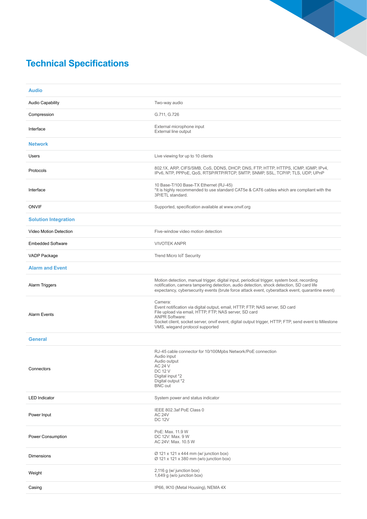# **Technical Specifications**

| <b>Audio</b>                |                                                                                                                                                                                                                                                                                                                       |
|-----------------------------|-----------------------------------------------------------------------------------------------------------------------------------------------------------------------------------------------------------------------------------------------------------------------------------------------------------------------|
| <b>Audio Capability</b>     | Two-way audio                                                                                                                                                                                                                                                                                                         |
| Compression                 | G.711, G.726                                                                                                                                                                                                                                                                                                          |
| Interface                   | External microphone input<br>External line output                                                                                                                                                                                                                                                                     |
| <b>Network</b>              |                                                                                                                                                                                                                                                                                                                       |
| Users                       | Live viewing for up to 10 clients                                                                                                                                                                                                                                                                                     |
| Protocols                   | 802.1X, ARP, CIFS/SMB, CoS, DDNS, DHCP, DNS, FTP, HTTP, HTTPS, ICMP, IGMP, IPv4,<br>IPv6, NTP, PPPoE, QoS, RTSP/RTP/RTCP, SMTP, SNMP, SSL, TCP/IP, TLS, UDP, UPnP                                                                                                                                                     |
| Interface                   | 10 Base-T/100 Base-TX Ethernet (RJ-45)<br>*It is highly recommended to use standard CAT5e & CAT6 cables which are compliant with the<br>3P/ETL standard.                                                                                                                                                              |
| <b>ONVIF</b>                | Supported, specification available at www.onvif.org                                                                                                                                                                                                                                                                   |
| <b>Solution Integration</b> |                                                                                                                                                                                                                                                                                                                       |
| Video Motion Detection      | Five-window video motion detection                                                                                                                                                                                                                                                                                    |
| <b>Embedded Software</b>    | <b>VIVOTEK ANPR</b>                                                                                                                                                                                                                                                                                                   |
| VADP Package                | <b>Trend Micro IoT Security</b>                                                                                                                                                                                                                                                                                       |
| <b>Alarm and Event</b>      |                                                                                                                                                                                                                                                                                                                       |
| Alarm Triggers              | Motion detection, manual trigger, digital input, periodical trigger, system boot, recording<br>notification, camera tampering detection, audio detection, shock detection, SD card life<br>expectancy, cybersecurity events (brute force attack event, cyberattack event, quarantine event)                           |
| <b>Alarm Events</b>         | Camera:<br>Event notification via digital output, email, HTTP, FTP, NAS server, SD card<br>File upload via email, HTTP, FTP, NAS server, SD card<br><b>ANPR Software:</b><br>Socket client, socket server, onvif event, digital output trigger, HTTP, FTP, send event to Milestone<br>VMS, wiegand protocol supported |
| <b>General</b>              |                                                                                                                                                                                                                                                                                                                       |
| Connectors                  | RJ-45 cable connector for 10/100Mpbs Network/PoE connection<br>Audio input<br>Audio output<br>AC 24 V<br><b>DC 12 V</b><br>Digital input *2<br>Digital output *2<br><b>BNC</b> out                                                                                                                                    |
| <b>LED</b> Indicator        | System power and status indicator                                                                                                                                                                                                                                                                                     |
| Power Input                 | IEEE 802.3af PoE Class 0<br><b>AC 24V</b><br><b>DC 12V</b>                                                                                                                                                                                                                                                            |
| Power Consumption           | PoE: Max. 11.9 W<br>DC 12V: Max. 9 W<br>AC 24V: Max. 10.5 W                                                                                                                                                                                                                                                           |
| <b>Dimensions</b>           | $\varnothing$ 121 x 121 x 444 mm (w/ junction box)<br>Ø 121 x 121 x 380 mm (w/o junction box)                                                                                                                                                                                                                         |
| Weight                      | 2,116 g (w/ junction box)<br>1,649 g (w/o junction box)                                                                                                                                                                                                                                                               |
| Casing                      | IP66, IK10 (Metal Housing), NEMA 4X                                                                                                                                                                                                                                                                                   |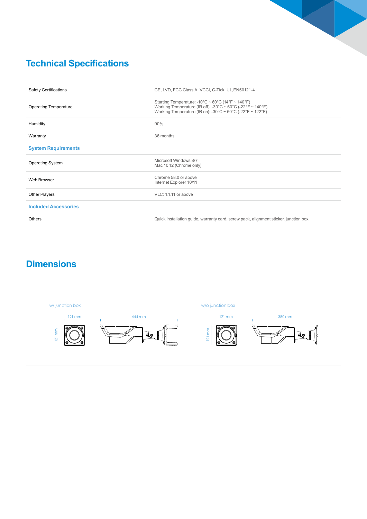

# **Technical Specifications**

| <b>Safety Certifications</b> | CE, LVD, FCC Class A, VCCI, C-Tick, UL, EN50121-4                                                                                                                            |
|------------------------------|------------------------------------------------------------------------------------------------------------------------------------------------------------------------------|
| <b>Operating Temperature</b> | Starting Temperature: -10°C ~ 60°C (14°F ~ 140°F)<br>Working Temperature (IR off): -30°C ~ 60°C (-22°F ~ 140°F)<br>Working Temperature (IR on): -30°C ~ 50°C (-22°F ~ 122°F) |
| Humidity                     | 90%                                                                                                                                                                          |
| Warranty                     | 36 months                                                                                                                                                                    |
| <b>System Requirements</b>   |                                                                                                                                                                              |
| <b>Operating System</b>      | Microsoft Windows 8/7<br>Mac 10.12 (Chrome only)                                                                                                                             |
| Web Browser                  | Chrome 58.0 or above<br>Internet Explorer 10/11                                                                                                                              |
| <b>Other Players</b>         | VLC: 1.1.11 or above                                                                                                                                                         |
| <b>Included Accessories</b>  |                                                                                                                                                                              |
| <b>Others</b>                | Quick installation guide, warranty card, screw pack, alignment sticker, junction box                                                                                         |

# **Dimensions**